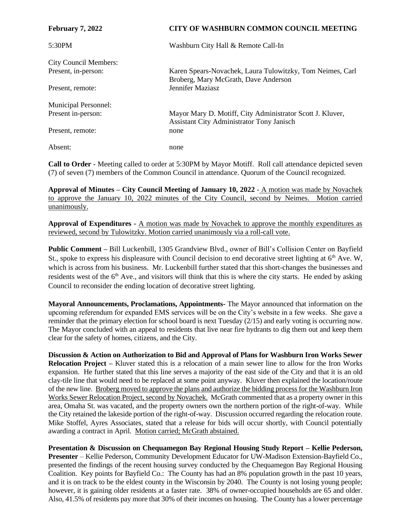| <b>February 7, 2022</b>      | CITY OF WASHBURN COMMON COUNCIL MEETING                                                                       |
|------------------------------|---------------------------------------------------------------------------------------------------------------|
| 5:30PM                       | Washburn City Hall & Remote Call-In                                                                           |
| <b>City Council Members:</b> |                                                                                                               |
| Present, in-person:          | Karen Spears-Novachek, Laura Tulowitzky, Tom Neimes, Carl<br>Broberg, Mary McGrath, Dave Anderson             |
| Present, remote:             | <b>Jennifer Maziasz</b>                                                                                       |
| <b>Municipal Personnel:</b>  |                                                                                                               |
| Present in-person:           | Mayor Mary D. Motiff, City Administrator Scott J. Kluver,<br><b>Assistant City Administrator Tony Janisch</b> |
| Present, remote:             | none                                                                                                          |
| Absent:                      | none                                                                                                          |

**Call to Order** - Meeting called to order at 5:30PM by Mayor Motiff. Roll call attendance depicted seven (7) of seven (7) members of the Common Council in attendance. Quorum of the Council recognized.

**Approval of Minutes – City Council Meeting of January 10, 2022** - A motion was made by Novachek to approve the January 10, 2022 minutes of the City Council, second by Neimes. Motion carried unanimously.

**Approval of Expenditures -** A motion was made by Novachek to approve the monthly expenditures as reviewed, second by Tulowitzky. Motion carried unanimously via a roll-call vote.

**Public Comment –** Bill Luckenbill, 1305 Grandview Blvd., owner of Bill's Collision Center on Bayfield St., spoke to express his displeasure with Council decision to end decorative street lighting at 6<sup>th</sup> Ave. W, which is across from his business. Mr. Luckenbill further stated that this short-changes the businesses and residents west of the  $6<sup>th</sup>$  Ave., and visitors will think that this is where the city starts. He ended by asking Council to reconsider the ending location of decorative street lighting.

**Mayoral Announcements, Proclamations, Appointments-** The Mayor announced that information on the upcoming referendum for expanded EMS services will be on the City's website in a few weeks. She gave a reminder that the primary election for school board is next Tuesday (2/15) and early voting is occurring now. The Mayor concluded with an appeal to residents that live near fire hydrants to dig them out and keep them clear for the safety of homes, citizens, and the City.

**Discussion & Action on Authorization to Bid and Approval of Plans for Washburn Iron Works Sewer Relocation Project –** Kluver stated this is a relocation of a main sewer line to allow for the Iron Works expansion. He further stated that this line serves a majority of the east side of the City and that it is an old clay-tile line that would need to be replaced at some point anyway. Kluver then explained the location/route of the new line. Broberg moved to approve the plans and authorize the bidding process for the Washburn Iron Works Sewer Relocation Project, second by Novachek. McGrath commented that as a property owner in this area, Omaha St. was vacated, and the property owners own the northern portion of the right-of-way. While the City retained the lakeside portion of the right-of-way. Discussion occurred regarding the relocation route. Mike Stoffel, Ayres Associates, stated that a release for bids will occur shortly, with Council potentially awarding a contract in April. Motion carried; McGrath abstained.

**Presentation & Discussion on Chequamegon Bay Regional Housing Study Report – Kellie Pederson, Presenter** – Kellie Pederson, Community Development Educator for UW-Madison Extension-Bayfield Co., presented the findings of the recent housing survey conducted by the Chequamegon Bay Regional Housing Coalition. Key points for Bayfield Co.: The County has had an 8% population growth in the past 10 years, and it is on track to be the eldest county in the Wisconsin by 2040. The County is not losing young people; however, it is gaining older residents at a faster rate. 38% of owner-occupied households are 65 and older. Also, 41.5% of residents pay more that 30% of their incomes on housing. The County has a lower percentage